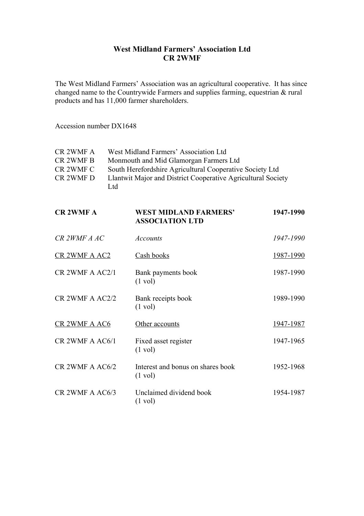## **West Midland Farmers' Association Ltd CR 2WMF**

The West Midland Farmers' Association was an agricultural cooperative. It has since changed name to the Countrywide Farmers and supplies farming, equestrian  $\&$  rural products and has 11,000 farmer shareholders.

Accession number DX1648

| CR 2WMF A                        | West Midland Farmers' Association Ltd                        |
|----------------------------------|--------------------------------------------------------------|
| <b>CR 2WMF B</b>                 | Monmouth and Mid Glamorgan Farmers Ltd                       |
| CR 2WMF C                        | South Herefordshire Agricultural Cooperative Society Ltd     |
| CR <sub>2</sub> WMF <sub>D</sub> | Llantwit Major and District Cooperative Agricultural Society |
|                                  | Ltd                                                          |

| <b>CR2WMFA</b>       | <b>WEST MIDLAND FARMERS'</b><br><b>ASSOCIATION LTD</b> | 1947-1990 |
|----------------------|--------------------------------------------------------|-----------|
| CR 2WMF A AC         | <b>Accounts</b>                                        | 1947-1990 |
| <b>CR 2WMF A AC2</b> | Cash books                                             | 1987-1990 |
| CR 2WMF A AC2/1      | Bank payments book<br>$(1 \text{ vol})$                | 1987-1990 |
| CR 2WMF A AC2/2      | Bank receipts book<br>$(1 \text{ vol})$                | 1989-1990 |
| <b>CR 2WMF A AC6</b> | Other accounts                                         | 1947-1987 |
| CR 2WMF A AC6/1      | Fixed asset register<br>$(1 \text{ vol})$              | 1947-1965 |
| CR 2WMF A AC6/2      | Interest and bonus on shares book<br>$(1 \text{ vol})$ | 1952-1968 |
| CR 2WMF A AC6/3      | Unclaimed dividend book<br>$(1 \text{ vol})$           | 1954-1987 |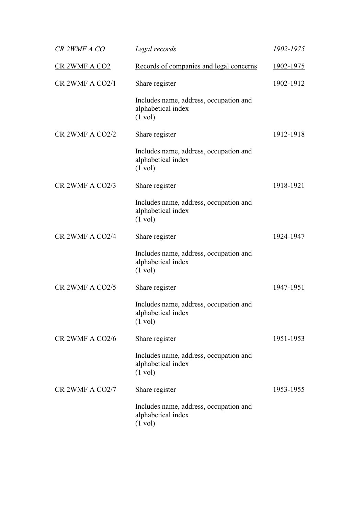| CR 2WMF A CO         | Legal records                                                                     | 1902-1975        |
|----------------------|-----------------------------------------------------------------------------------|------------------|
| <b>CR 2WMF A CO2</b> | Records of companies and legal concerns                                           | <u>1902-1975</u> |
| CR 2WMF A CO2/1      | Share register                                                                    | 1902-1912        |
|                      | Includes name, address, occupation and<br>alphabetical index<br>$(1 \text{ vol})$ |                  |
| CR 2WMF A CO2/2      | Share register                                                                    | 1912-1918        |
|                      | Includes name, address, occupation and<br>alphabetical index<br>$(1 \text{ vol})$ |                  |
| CR 2WMF A CO2/3      | Share register                                                                    | 1918-1921        |
|                      | Includes name, address, occupation and<br>alphabetical index<br>$(1 \text{ vol})$ |                  |
| CR 2WMF A CO2/4      | Share register                                                                    | 1924-1947        |
|                      | Includes name, address, occupation and<br>alphabetical index<br>$(1 \text{ vol})$ |                  |
| CR 2WMF A CO2/5      | Share register                                                                    | 1947-1951        |
|                      | Includes name, address, occupation and<br>alphabetical index<br>$(1 \text{ vol})$ |                  |
| CR 2WMF A CO2/6      | Share register                                                                    | 1951-1953        |
|                      | Includes name, address, occupation and<br>alphabetical index<br>$(1 \text{ vol})$ |                  |
| CR 2WMF A CO2/7      | Share register                                                                    | 1953-1955        |
|                      | Includes name, address, occupation and<br>alphabetical index<br>$(1 \text{ vol})$ |                  |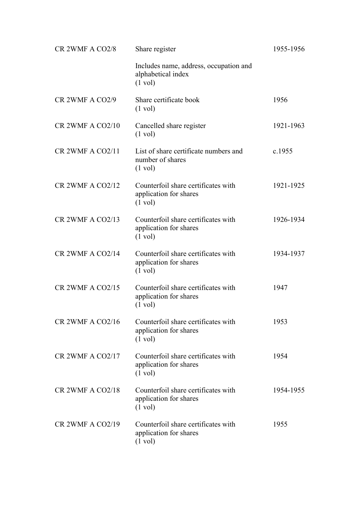| CR 2WMF A CO2/8         | Share register                                                                     | 1955-1956 |
|-------------------------|------------------------------------------------------------------------------------|-----------|
|                         | Includes name, address, occupation and<br>alphabetical index<br>$(1 \text{ vol})$  |           |
| CR 2WMF A CO2/9         | Share certificate book<br>$(1 \text{ vol})$                                        | 1956      |
| CR 2WMF A CO2/10        | Cancelled share register<br>$(1 \text{ vol})$                                      | 1921-1963 |
| CR 2WMF A CO2/11        | List of share certificate numbers and<br>number of shares<br>$(1 \text{ vol})$     | c.1955    |
| CR 2WMF A CO2/12        | Counterfoil share certificates with<br>application for shares<br>$(1 \text{ vol})$ | 1921-1925 |
| CR 2WMF A CO2/13        | Counterfoil share certificates with<br>application for shares<br>$(1 \text{ vol})$ | 1926-1934 |
| CR 2WMF A CO2/14        | Counterfoil share certificates with<br>application for shares<br>$(1 \text{ vol})$ | 1934-1937 |
| CR 2WMF A CO2/15        | Counterfoil share certificates with<br>application for shares<br>$(1 \text{ vol})$ | 1947      |
| <b>CR 2WMF A CO2/16</b> | Counterfoil share certificates with<br>application for shares<br>$(1 \text{ vol})$ | 1953      |
| CR 2WMF A CO2/17        | Counterfoil share certificates with<br>application for shares<br>$(1 \text{ vol})$ | 1954      |
| CR 2WMF A CO2/18        | Counterfoil share certificates with<br>application for shares<br>$(1 \text{ vol})$ | 1954-1955 |
| CR 2WMF A CO2/19        | Counterfoil share certificates with<br>application for shares<br>$(1 \text{ vol})$ | 1955      |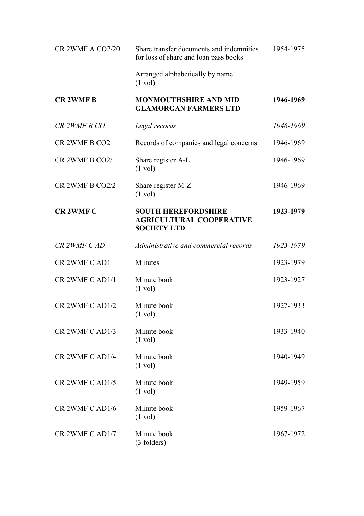| CR 2WMF A CO2/20 | Share transfer documents and indemnities<br>for loss of share and loan pass books   | 1954-1975        |
|------------------|-------------------------------------------------------------------------------------|------------------|
|                  | Arranged alphabetically by name<br>$(1 \text{ vol})$                                |                  |
| <b>CR2WMFB</b>   | <b>MONMOUTHSHIRE AND MID</b><br><b>GLAMORGAN FARMERS LTD</b>                        | 1946-1969        |
| CR 2WMF B CO     | Legal records                                                                       | 1946-1969        |
| CR 2WMF B CO2    | Records of companies and legal concerns                                             | <u>1946-1969</u> |
| CR 2WMF B CO2/1  | Share register A-L<br>$(1 \text{ vol})$                                             | 1946-1969        |
| CR 2WMF B CO2/2  | Share register M-Z<br>$(1 \text{ vol})$                                             | 1946-1969        |
| <b>CR2WMFC</b>   | <b>SOUTH HEREFORDSHIRE</b><br><b>AGRICULTURAL COOPERATIVE</b><br><b>SOCIETY LTD</b> | 1923-1979        |
| CR 2WMF C AD     | Administrative and commercial records                                               | 1923-1979        |
| CR 2WMF C AD1    | <b>Minutes</b>                                                                      | 1923-1979        |
| CR 2WMF C AD1/1  | Minute book<br>$(1 \text{ vol})$                                                    | 1923-1927        |
| CR 2WMF C AD1/2  | Minute book<br>$(1 \text{ vol})$                                                    | 1927-1933        |
| CR 2WMF C AD1/3  | Minute book<br>$(1 \text{ vol})$                                                    | 1933-1940        |
| CR 2WMF C AD1/4  | Minute book<br>$(1 \text{ vol})$                                                    | 1940-1949        |
| CR 2WMF C AD1/5  | Minute book<br>$(1 \text{ vol})$                                                    | 1949-1959        |
| CR 2WMF C AD1/6  | Minute book<br>$(1 \text{ vol})$                                                    | 1959-1967        |
| CR 2WMF C AD1/7  | Minute book<br>(3 folders)                                                          | 1967-1972        |